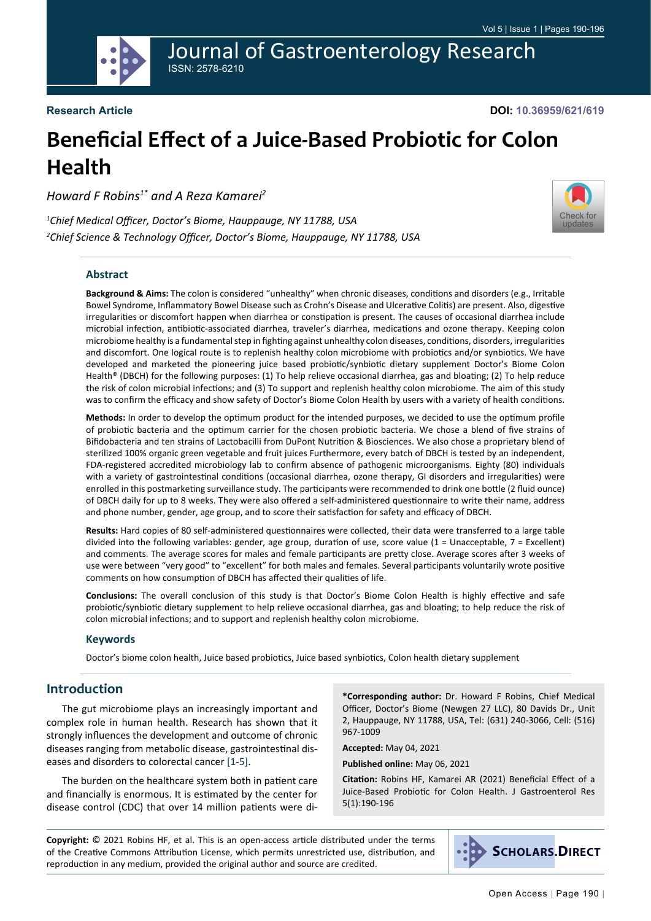

**DOI: 10.36959/621/619**

# **Beneficial Effect of a Juice-Based Probiotic for Colon Health**

*Howard F Robins1\* and A Reza Kamarei2*

*1 Chief Medical Officer, Doctor's Biome, Hauppauge, NY 11788, USA 2 Chief Science & Technology Officer, Doctor's Biome, Hauppauge, NY 11788, USA*

## **Abstract**

**Background & Aims:** The colon is considered "unhealthy" when chronic diseases, conditions and disorders (e.g., Irritable Bowel Syndrome, Inflammatory Bowel Disease such as Crohn's Disease and Ulcerative Colitis) are present. Also, digestive irregularities or discomfort happen when diarrhea or constipation is present. The causes of occasional diarrhea include microbial infection, antibiotic-associated diarrhea, traveler's diarrhea, medications and ozone therapy. Keeping colon microbiome healthy is a fundamental step in fighting against unhealthy colon diseases, conditions, disorders, irregularities and discomfort. One logical route is to replenish healthy colon microbiome with probiotics and/or synbiotics. We have developed and marketed the pioneering juice based probiotic/synbiotic dietary supplement Doctor's Biome Colon Health® (DBCH) for the following purposes: (1) To help relieve occasional diarrhea, gas and bloating; (2) To help reduce the risk of colon microbial infections; and (3) To support and replenish healthy colon microbiome. The aim of this study was to confirm the efficacy and show safety of Doctor's Biome Colon Health by users with a variety of health conditions.

**Methods:** In order to develop the optimum product for the intended purposes, we decided to use the optimum profile of probiotic bacteria and the optimum carrier for the chosen probiotic bacteria. We chose a blend of five strains of Bifidobacteria and ten strains of Lactobacilli from DuPont Nutrition & Biosciences. We also chose a proprietary blend of sterilized 100% organic green vegetable and fruit juices Furthermore, every batch of DBCH is tested by an independent, FDA-registered accredited microbiology lab to confirm absence of pathogenic microorganisms. Eighty (80) individuals with a variety of gastrointestinal conditions (occasional diarrhea, ozone therapy, GI disorders and irregularities) were enrolled in this postmarketing surveillance study. The participants were recommended to drink one bottle (2 fluid ounce) of DBCH daily for up to 8 weeks. They were also offered a self-administered questionnaire to write their name, address and phone number, gender, age group, and to score their satisfaction for safety and efficacy of DBCH.

**Results:** Hard copies of 80 self-administered questionnaires were collected, their data were transferred to a large table divided into the following variables: gender, age group, duration of use, score value (1 = Unacceptable, 7 = Excellent) and comments. The average scores for males and female participants are pretty close. Average scores after 3 weeks of use were between "very good" to "excellent" for both males and females. Several participants voluntarily wrote positive comments on how consumption of DBCH has affected their qualities of life.

**Conclusions:** The overall conclusion of this study is that Doctor's Biome Colon Health is highly effective and safe probiotic/synbiotic dietary supplement to help relieve occasional diarrhea, gas and bloating; to help reduce the risk of colon microbial infections; and to support and replenish healthy colon microbiome.

#### **Keywords**

Doctor's biome colon health, Juice based probiotics, Juice based synbiotics, Colon health dietary supplement

# **Introduction**

The gut microbiome plays an increasingly important and complex role in human health. Research has shown that it strongly influences the development and outcome of chronic diseases ranging from metabolic disease, gastrointestinal diseases and disorders to colorectal cancer [[1-](#page-5-0)[5\]](#page-5-1).

The burden on the healthcare system both in patient care and financially is enormous. It is estimated by the center for disease control (CDC) that over 14 million patients were di-

**\*Corresponding author:** Dr. Howard F Robins, Chief Medical Officer, Doctor's Biome (Newgen 27 LLC), 80 Davids Dr., Unit 2, Hauppauge, NY 11788, USA, Tel: (631) 240-3066, Cell: (516) 967-1009

**Accepted:** May 04, 2021

**Published online:** May 06, 2021

**Citation:** Robins HF, Kamarei AR (2021) Beneficial Effect of a Juice-Based Probiotic for Colon Health. J Gastroenterol Res 5(1):190-196

**Copyright:** © 2021 Robins HF, et al. This is an open-access article distributed under the terms of the Creative Commons Attribution License, which permits unrestricted use, distribution, and reproduction in any medium, provided the original author and source are credited.



[Check for](http://crossmark.crossref.org/dialog/?doi=10.36959/621/619&domain=pdf) updates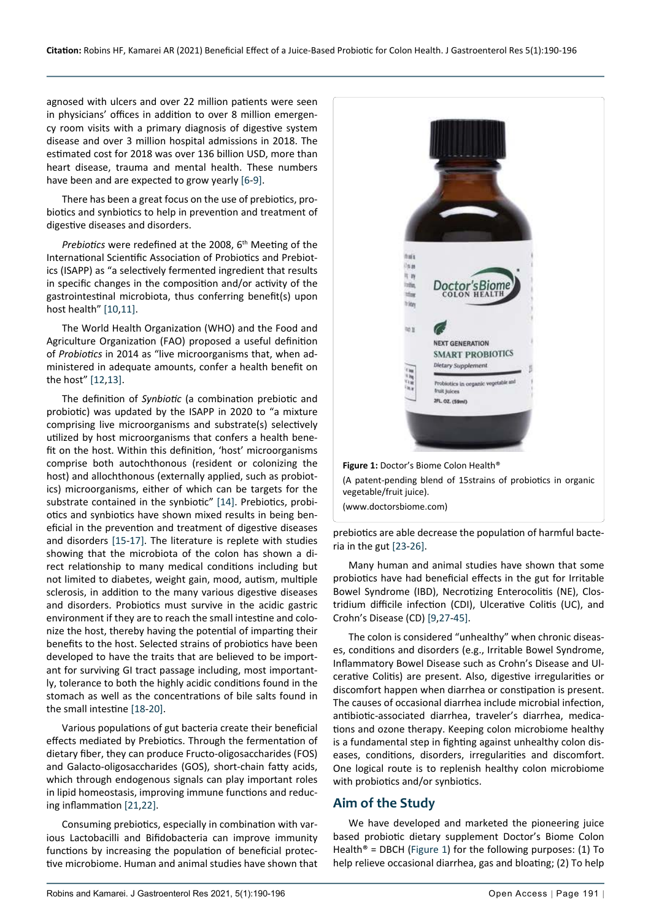<span id="page-1-0"></span>Ĩ

agnosed with ulcers and over 22 million patients were seen in physicians' offices in addition to over 8 million emergency room visits with a primary diagnosis of digestive system disease and over 3 million hospital admissions in 2018. The estimated cost for 2018 was over 136 billion USD, more than heart disease, trauma and mental health. These numbers have been and are expected to grow yearly [\[6](#page-5-3)-[9\]](#page-5-2).

There has been a great focus on the use of prebiotics, probiotics and synbiotics to help in prevention and treatment of digestive diseases and disorders.

*Prebiotics* were redefined at the 2008, 6<sup>th</sup> Meeting of the International Scientific Association of Probiotics and Prebiotics (ISAPP) as "a selectively fermented ingredient that results in specific changes in the composition and/or activity of the gastrointestinal microbiota, thus conferring benefit(s) upon host health" [\[10](#page-5-4),[11\]](#page-5-5).

The World Health Organization (WHO) and the Food and Agriculture Organization (FAO) proposed a useful definition of *Probiotics* in 2014 as "live microorganisms that, when administered in adequate amounts, confer a health benefit on the host" [[12,](#page-5-6)[13](#page-6-4)].

The definition of *Synbiotic* (a combination prebiotic and probiotic) was updated by the ISAPP in 2020 to "a mixture comprising live microorganisms and substrate(s) selectively utilized by host microorganisms that confers a health benefit on the host. Within this definition, 'host' microorganisms comprise both autochthonous (resident or colonizing the host) and allochthonous (externally applied, such as probiotics) microorganisms, either of which can be targets for the substrate contained in the synbiotic" [\[14\]](#page-6-5). Prebiotics, probiotics and synbiotics have shown mixed results in being beneficial in the prevention and treatment of digestive diseases and disorders [\[15-](#page-6-6)[17\]](#page-6-7). The literature is replete with studies showing that the microbiota of the colon has shown a direct relationship to many medical conditions including but not limited to diabetes, weight gain, mood, autism, multiple sclerosis, in addition to the many various digestive diseases and disorders. Probiotics must survive in the acidic gastric environment if they are to reach the small intestine and colonize the host, thereby having the potential of imparting their benefits to the host. Selected strains of probiotics have been developed to have the traits that are believed to be important for surviving GI tract passage including, most importantly, tolerance to both the highly acidic conditions found in the stomach as well as the concentrations of bile salts found in the small intestine [[18](#page-6-8)[-20](#page-6-9)].

Various populations of gut bacteria create their beneficial effects mediated by Prebiotics. Through the fermentation of dietary fiber, they can produce Fructo-oligosaccharides (FOS) and Galacto-oligosaccharides (GOS), short-chain fatty acids, which through endogenous signals can play important roles in lipid homeostasis, improving immune functions and reducing inflammation [[21](#page-6-10)[,22\]](#page-6-11).

Consuming prebiotics, especially in combination with various Lactobacilli and Bifidobacteria can improve immunity functions by increasing the population of beneficial protective microbiome. Human and animal studies have shown that



**Figure 1:** Doctor's Biome Colon Health® (A patent-pending blend of 15strains of probiotics in organic vegetable/fruit juice).

(www.doctorsbiome.com)

prebiotics are able decrease the population of harmful bacteria in the gut [[23](#page-6-0)-[26](#page-6-1)].

Many human and animal studies have shown that some probiotics have had beneficial effects in the gut for Irritable Bowel Syndrome (IBD), Necrotizing Enterocolitis (NE), Clostridium difficile infection (CDI), Ulcerative Colitis (UC), and Crohn's Disease (CD) [\[9](#page-5-2),[27](#page-6-2)-[45](#page-6-3)].

The colon is considered "unhealthy" when chronic diseases, conditions and disorders (e.g., Irritable Bowel Syndrome, Inflammatory Bowel Disease such as Crohn's Disease and Ulcerative Colitis) are present. Also, digestive irregularities or discomfort happen when diarrhea or constipation is present. The causes of occasional diarrhea include microbial infection, antibiotic-associated diarrhea, traveler's diarrhea, medications and ozone therapy. Keeping colon microbiome healthy is a fundamental step in fighting against unhealthy colon diseases, conditions, disorders, irregularities and discomfort. One logical route is to replenish healthy colon microbiome with probiotics and/or synbiotics.

## **Aim of the Study**

We have developed and marketed the pioneering juice based probiotic dietary supplement Doctor's Biome Colon Health<sup>®</sup> = DBCH [\(Figure 1](#page-1-0)) for the following purposes: (1) To help relieve occasional diarrhea, gas and bloating; (2) To help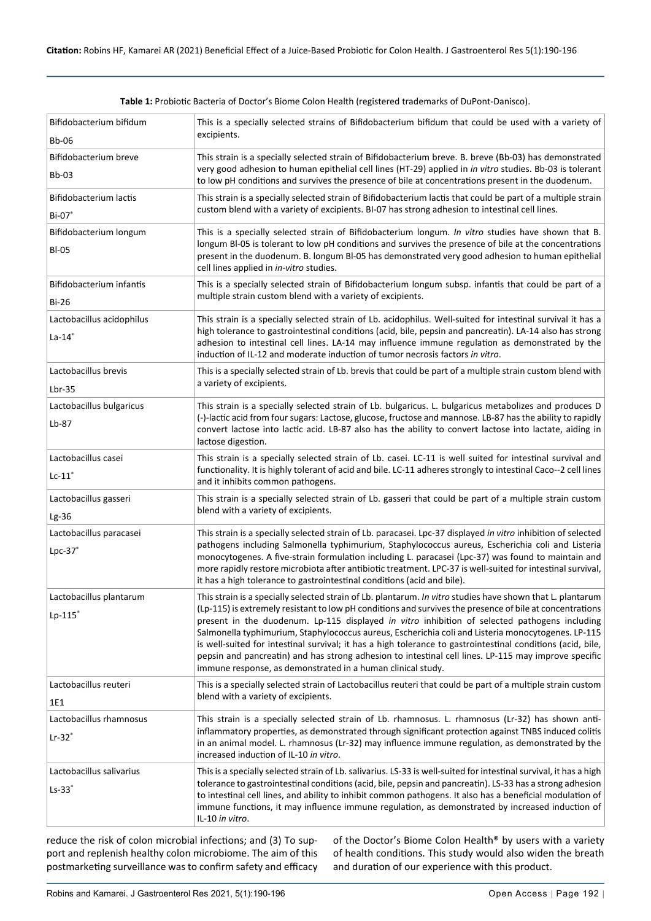| Bifidobacterium bifidum<br>Bb-06 | This is a specially selected strains of Bifidobacterium bifidum that could be used with a variety of<br>excipients.                                                                                                                                                                                                                                                                             |  |  |  |  |
|----------------------------------|-------------------------------------------------------------------------------------------------------------------------------------------------------------------------------------------------------------------------------------------------------------------------------------------------------------------------------------------------------------------------------------------------|--|--|--|--|
| Bifidobacterium breve            | This strain is a specially selected strain of Bifidobacterium breve. B. breve (Bb-03) has demonstrated                                                                                                                                                                                                                                                                                          |  |  |  |  |
| <b>Bb-03</b>                     | very good adhesion to human epithelial cell lines (HT-29) applied in in vitro studies. Bb-03 is tolerant<br>to low pH conditions and survives the presence of bile at concentrations present in the duodenum.                                                                                                                                                                                   |  |  |  |  |
| Bifidobacterium lactis           | This strain is a specially selected strain of Bifidobacterium lactis that could be part of a multiple strain                                                                                                                                                                                                                                                                                    |  |  |  |  |
| $Bi-07$                          | custom blend with a variety of excipients. BI-07 has strong adhesion to intestinal cell lines.                                                                                                                                                                                                                                                                                                  |  |  |  |  |
| Bifidobacterium longum           | This is a specially selected strain of Bifidobacterium longum. In vitro studies have shown that B.                                                                                                                                                                                                                                                                                              |  |  |  |  |
| <b>BI-05</b>                     | longum Bl-05 is tolerant to low pH conditions and survives the presence of bile at the concentrations<br>present in the duodenum. B. longum Bl-05 has demonstrated very good adhesion to human epithelial<br>cell lines applied in in-vitro studies.                                                                                                                                            |  |  |  |  |
| Bifidobacterium infantis         | This is a specially selected strain of Bifidobacterium longum subsp. infantis that could be part of a                                                                                                                                                                                                                                                                                           |  |  |  |  |
| <b>Bi-26</b>                     | multiple strain custom blend with a variety of excipients.                                                                                                                                                                                                                                                                                                                                      |  |  |  |  |
| Lactobacillus acidophilus        | This strain is a specially selected strain of Lb. acidophilus. Well-suited for intestinal survival it has a                                                                                                                                                                                                                                                                                     |  |  |  |  |
| $La-14°$                         | high tolerance to gastrointestinal conditions (acid, bile, pepsin and pancreatin). LA-14 also has strong                                                                                                                                                                                                                                                                                        |  |  |  |  |
|                                  | adhesion to intestinal cell lines. LA-14 may influence immune regulation as demonstrated by the<br>induction of IL-12 and moderate induction of tumor necrosis factors in vitro.                                                                                                                                                                                                                |  |  |  |  |
| Lactobacillus brevis             | This is a specially selected strain of Lb. brevis that could be part of a multiple strain custom blend with                                                                                                                                                                                                                                                                                     |  |  |  |  |
| $Lbr-35$                         | a variety of excipients.                                                                                                                                                                                                                                                                                                                                                                        |  |  |  |  |
| Lactobacillus bulgaricus         | This strain is a specially selected strain of Lb. bulgaricus. L. bulgaricus metabolizes and produces D                                                                                                                                                                                                                                                                                          |  |  |  |  |
|                                  | (-)-lactic acid from four sugars: Lactose, glucose, fructose and mannose. LB-87 has the ability to rapidly                                                                                                                                                                                                                                                                                      |  |  |  |  |
| $Lb-87$                          | convert lactose into lactic acid. LB-87 also has the ability to convert lactose into lactate, aiding in<br>lactose digestion.                                                                                                                                                                                                                                                                   |  |  |  |  |
| Lactobacillus casei              | This strain is a specially selected strain of Lb. casei. LC-11 is well suited for intestinal survival and                                                                                                                                                                                                                                                                                       |  |  |  |  |
| $Lc-11$ <sup>®</sup>             | functionality. It is highly tolerant of acid and bile. LC-11 adheres strongly to intestinal Caco--2 cell lines<br>and it inhibits common pathogens.                                                                                                                                                                                                                                             |  |  |  |  |
| Lactobacillus gasseri            | This strain is a specially selected strain of Lb. gasseri that could be part of a multiple strain custom                                                                                                                                                                                                                                                                                        |  |  |  |  |
| $Lg-36$                          | blend with a variety of excipients.                                                                                                                                                                                                                                                                                                                                                             |  |  |  |  |
| Lactobacillus paracasei          | This strain is a specially selected strain of Lb. paracasei. Lpc-37 displayed in vitro inhibition of selected                                                                                                                                                                                                                                                                                   |  |  |  |  |
| $Lpc-37°$                        | pathogens including Salmonella typhimurium, Staphylococcus aureus, Escherichia coli and Listeria<br>monocytogenes. A five-strain formulation including L. paracasei (Lpc-37) was found to maintain and<br>more rapidly restore microbiota after antibiotic treatment. LPC-37 is well-suited for intestinal survival,<br>it has a high tolerance to gastrointestinal conditions (acid and bile). |  |  |  |  |
| Lactobacillus plantarum          | This strain is a specially selected strain of Lb. plantarum. In vitro studies have shown that L. plantarum                                                                                                                                                                                                                                                                                      |  |  |  |  |
| $Lp-115^\circ$                   | (Lp-115) is extremely resistant to low pH conditions and survives the presence of bile at concentrations                                                                                                                                                                                                                                                                                        |  |  |  |  |
|                                  | present in the duodenum. Lp-115 displayed in vitro inhibition of selected pathogens including<br>Salmonella typhimurium, Staphylococcus aureus, Escherichia coli and Listeria monocytogenes. LP-115                                                                                                                                                                                             |  |  |  |  |
|                                  | is well-suited for intestinal survival; it has a high tolerance to gastrointestinal conditions (acid, bile,                                                                                                                                                                                                                                                                                     |  |  |  |  |
|                                  | pepsin and pancreatin) and has strong adhesion to intestinal cell lines. LP-115 may improve specific<br>immune response, as demonstrated in a human clinical study.                                                                                                                                                                                                                             |  |  |  |  |
| Lactobacillus reuteri            | This is a specially selected strain of Lactobacillus reuteri that could be part of a multiple strain custom                                                                                                                                                                                                                                                                                     |  |  |  |  |
| 1E1                              | blend with a variety of excipients.                                                                                                                                                                                                                                                                                                                                                             |  |  |  |  |
| Lactobacillus rhamnosus          | This strain is a specially selected strain of Lb. rhamnosus. L. rhamnosus (Lr-32) has shown anti-                                                                                                                                                                                                                                                                                               |  |  |  |  |
| $Lr-32$ <sup>*</sup>             | inflammatory properties, as demonstrated through significant protection against TNBS induced colitis<br>in an animal model. L. rhamnosus (Lr-32) may influence immune regulation, as demonstrated by the                                                                                                                                                                                        |  |  |  |  |
|                                  | increased induction of IL-10 in vitro.                                                                                                                                                                                                                                                                                                                                                          |  |  |  |  |
| Lactobacillus salivarius         | This is a specially selected strain of Lb. salivarius. LS-33 is well-suited for intestinal survival, it has a high                                                                                                                                                                                                                                                                              |  |  |  |  |
| $Ls-33$                          | tolerance to gastrointestinal conditions (acid, bile, pepsin and pancreatin). LS-33 has a strong adhesion<br>to intestinal cell lines, and ability to inhibit common pathogens. It also has a beneficial modulation of                                                                                                                                                                          |  |  |  |  |
|                                  | immune functions, it may influence immune regulation, as demonstrated by increased induction of                                                                                                                                                                                                                                                                                                 |  |  |  |  |
|                                  | IL-10 in vitro.                                                                                                                                                                                                                                                                                                                                                                                 |  |  |  |  |

<span id="page-2-0"></span>**Table 1:** Probiotic Bacteria of Doctor's Biome Colon Health (registered trademarks of DuPont-Danisco).

reduce the risk of colon microbial infections; and (3) To support and replenish healthy colon microbiome. The aim of this postmarketing surveillance was to confirm safety and efficacy

of the Doctor's Biome Colon Health® by users with a variety of health conditions. This study would also widen the breath and duration of our experience with this product.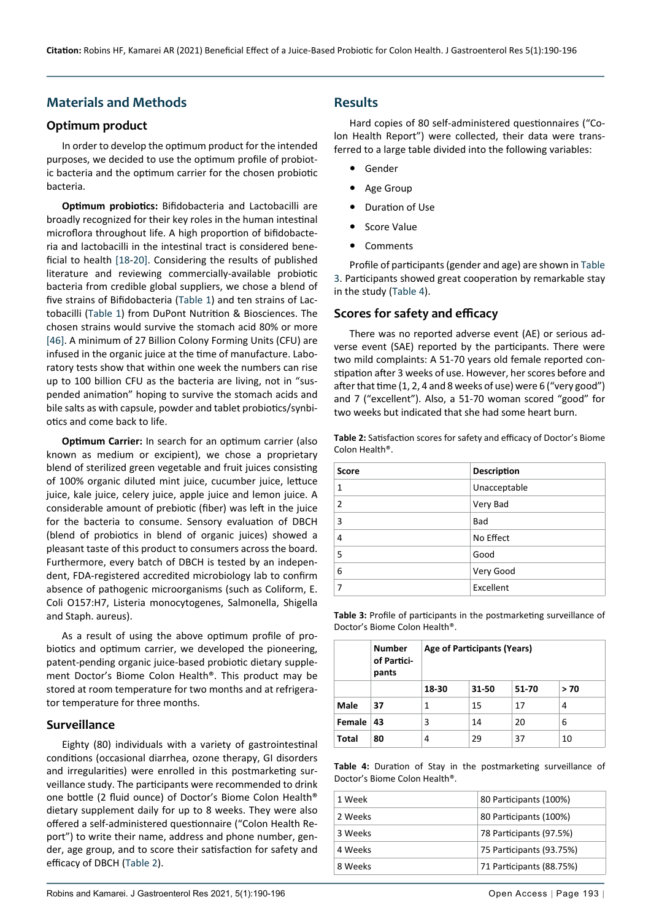# **Materials and Methods**

## **Optimum product**

In order to develop the optimum product for the intended purposes, we decided to use the optimum profile of probiotic bacteria and the optimum carrier for the chosen probiotic bacteria.

**Optimum probiotics:** Bifidobacteria and Lactobacilli are broadly recognized for their key roles in the human intestinal microflora throughout life. A high proportion of bifidobacteria and lactobacilli in the intestinal tract is considered beneficial to health [[18](#page-6-8)-[20](#page-6-9)]. Considering the results of published literature and reviewing commercially-available probiotic bacteria from credible global suppliers, we chose a blend of five strains of Bifidobacteria ([Table 1](#page-2-0)) and ten strains of Lactobacilli ([Table 1](#page-2-0)) from DuPont Nutrition & Biosciences. The chosen strains would survive the stomach acid 80% or more [[46\]](#page-6-12). A minimum of 27 Billion Colony Forming Units (CFU) are infused in the organic juice at the time of manufacture. Laboratory tests show that within one week the numbers can rise up to 100 billion CFU as the bacteria are living, not in "suspended animation" hoping to survive the stomach acids and bile salts as with capsule, powder and tablet probiotics/synbiotics and come back to life.

**Optimum Carrier:** In search for an optimum carrier (also known as medium or excipient), we chose a proprietary blend of sterilized green vegetable and fruit juices consisting of 100% organic diluted mint juice, cucumber juice, lettuce juice, kale juice, celery juice, apple juice and lemon juice. A considerable amount of prebiotic (fiber) was left in the juice for the bacteria to consume. Sensory evaluation of DBCH (blend of probiotics in blend of organic juices) showed a pleasant taste of this product to consumers across the board. Furthermore, every batch of DBCH is tested by an independent, FDA-registered accredited microbiology lab to confirm absence of pathogenic microorganisms (such as Coliform, E. Coli O157:H7, Listeria monocytogenes, Salmonella, Shigella and Staph. aureus).

As a result of using the above optimum profile of probiotics and optimum carrier, we developed the pioneering, patent-pending organic juice-based probiotic dietary supplement Doctor's Biome Colon Health®. This product may be stored at room temperature for two months and at refrigerator temperature for three months.

#### **Surveillance**

Eighty (80) individuals with a variety of gastrointestinal conditions (occasional diarrhea, ozone therapy, GI disorders and irregularities) were enrolled in this postmarketing surveillance study. The participants were recommended to drink one bottle (2 fluid ounce) of Doctor's Biome Colon Health® dietary supplement daily for up to 8 weeks. They were also offered a self-administered questionnaire ("Colon Health Report") to write their name, address and phone number, gender, age group, and to score their satisfaction for safety and efficacy of DBCH ([Table 2](#page-3-2)).

Hard copies of 80 self-administered questionnaires ("Colon Health Report") were collected, their data were transferred to a large table divided into the following variables:

- **•**  Gender
- **•**  Age Group
- **Duration of Use**
- **•**  Score Value
- **•**  Comments

Profile of participants (gender and age) are shown in [Table](#page-3-0)  [3.](#page-3-0) Participants showed great cooperation by remarkable stay in the study ([Table 4](#page-3-1)).

### **Scores for safety and efficacy**

There was no reported adverse event (AE) or serious adverse event (SAE) reported by the participants. There were two mild complaints: A 51-70 years old female reported constipation after 3 weeks of use. However, her scores before and after that time (1, 2, 4 and 8 weeks of use) were 6 ("very good") and 7 ("excellent"). Also, a 51-70 woman scored "good" for two weeks but indicated that she had some heart burn.

<span id="page-3-2"></span>**Table 2:** Satisfaction scores for safety and efficacy of Doctor's Biome Colon Health®.

| <b>Score</b>   | <b>Description</b> |
|----------------|--------------------|
| 1              | Unacceptable       |
| $\overline{2}$ | Very Bad           |
| 3              | Bad                |
| 4              | No Effect          |
| 5              | Good               |
| 6              | Very Good          |
| 7              | Excellent          |

<span id="page-3-0"></span>**Table 3:** Profile of participants in the postmarketing surveillance of Doctor's Biome Colon Health®.

|              | <b>Number</b><br>of Partici-<br>pants | Age of Participants (Years) |       |       |      |  |
|--------------|---------------------------------------|-----------------------------|-------|-------|------|--|
|              |                                       | 18-30                       | 31-50 | 51-70 | > 70 |  |
| Male         | 37                                    | 1                           | 15    | 17    | 4    |  |
| Female       | 43                                    | 3                           | 14    | 20    | 6    |  |
| <b>Total</b> | 80                                    | 4                           | 29    | 37    | 10   |  |

<span id="page-3-1"></span>**Table 4:** Duration of Stay in the postmarketing surveillance of Doctor's Biome Colon Health®.

| 1 Week  | 80 Participants (100%)   |
|---------|--------------------------|
| 2 Weeks | 80 Participants (100%)   |
| 3 Weeks | 78 Participants (97.5%)  |
| 4 Weeks | 75 Participants (93.75%) |
| 8 Weeks | 71 Participants (88.75%) |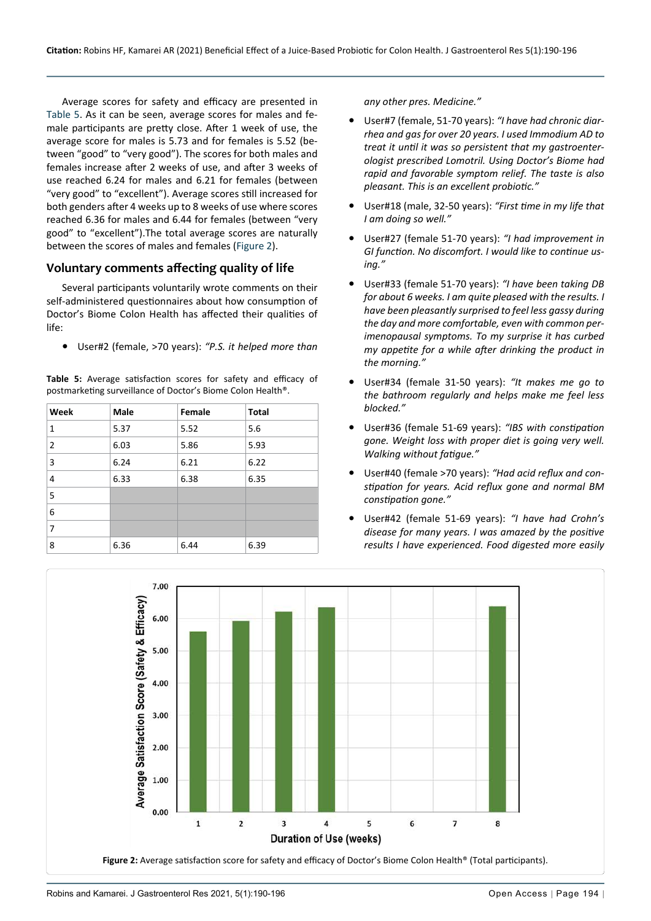Average scores for safety and efficacy are presented in [Table 5](#page-4-0). As it can be seen, average scores for males and female participants are pretty close. After 1 week of use, the average score for males is 5.73 and for females is 5.52 (between "good" to "very good"). The scores for both males and females increase after 2 weeks of use, and after 3 weeks of use reached 6.24 for males and 6.21 for females (between "very good" to "excellent"). Average scores still increased for both genders after 4 weeks up to 8 weeks of use where scores reached 6.36 for males and 6.44 for females (between "very good" to "excellent").The total average scores are naturally between the scores of males and females [\(Figure 2\)](#page-4-1).

## **Voluntary comments affecting quality of life**

Several participants voluntarily wrote comments on their self-administered questionnaires about how consumption of Doctor's Biome Colon Health has affected their qualities of life:

User#2 (female, >70 years): "P.S. it helped more than

<span id="page-4-0"></span>**Table 5:** Average satisfaction scores for safety and efficacy of postmarketing surveillance of Doctor's Biome Colon Health®.

| Week           | Male | Female | <b>Total</b> |
|----------------|------|--------|--------------|
| 1              | 5.37 | 5.52   | 5.6          |
| $\overline{2}$ | 6.03 | 5.86   | 5.93         |
| 3              | 6.24 | 6.21   | 6.22         |
| 4              | 6.33 | 6.38   | 6.35         |
| 5              |      |        |              |
| 6              |      |        |              |
| 7              |      |        |              |
| 8              | 6.36 | 6.44   | 6.39         |

*any other pres. Medicine."*

- **•**  User#7 (female, 51-70 years): *"I have had chronic diarrhea and gas for over 20 years. I used Immodium AD to treat it until it was so persistent that my gastroenterologist prescribed Lomotril. Using Doctor's Biome had rapid and favorable symptom relief. The taste is also pleasant. This is an excellent probiotic."*
- User#18 (male, 32-50 years): "First time in my life that *I am doing so well."*
- **•**  User#27 (female 51-70 years): *"I had improvement in GI function. No discomfort. I would like to continue using."*
- User#33 (female 51-70 years): "I have been taking DB *for about 6 weeks. I am quite pleased with the results. I have been pleasantly surprised to feel less gassy during the day and more comfortable, even with common perimenopausal symptoms. To my surprise it has curbed my appetite for a while after drinking the product in the morning."*
- User#34 (female 31-50 years): "It makes me go to *the bathroom regularly and helps make me feel less blocked."*
- **•**  User#36 (female 51-69 years): *"IBS with constipation gone. Weight loss with proper diet is going very well. Walking without fatigue."*
- **•**  User#40 (female >70 years): *"Had acid reflux and constipation for years. Acid reflux gone and normal BM constipation gone."*
- **•**  User#42 (female 51-69 years): *"I have had Crohn's disease for many years. I was amazed by the positive results I have experienced. Food digested more easily*

<span id="page-4-1"></span>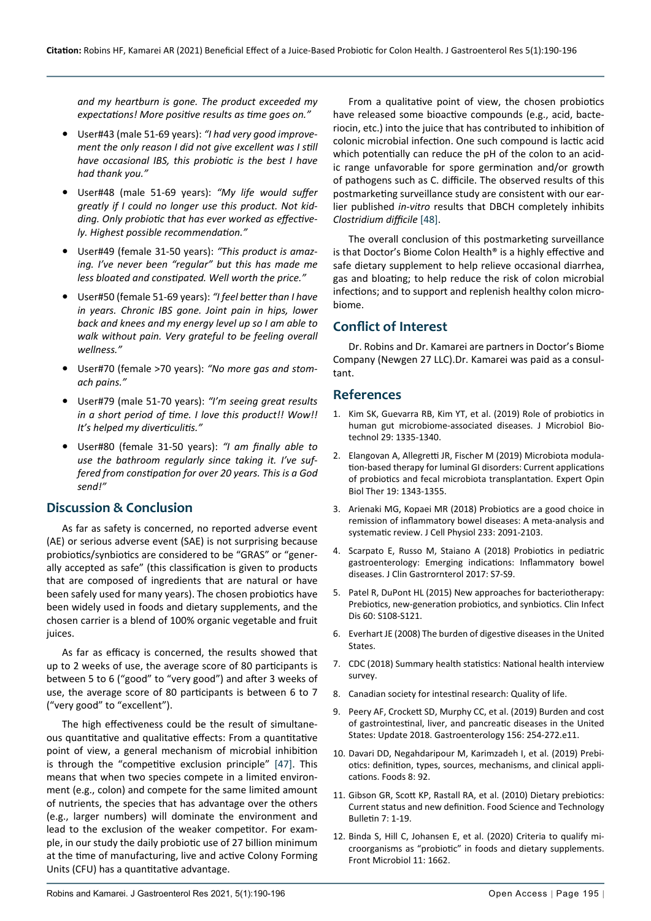*and my heartburn is gone. The product exceeded my expectations! More positive results as time goes on."*

- **•**  User#43 (male 51-69 years): *"I had very good improvement the only reason I did not give excellent was I still have occasional IBS, this probiotic is the best I have had thank you."*
- User#48 (male 51-69 years): "My life would suffer *greatly if I could no longer use this product. Not kidding. Only probiotic that has ever worked as effectively. Highest possible recommendation."*
- **•**  User#49 (female 31-50 years): *"This product is amazing. I've never been "regular" but this has made me less bloated and constipated. Well worth the price."*
- **•**  User#50 (female 51-69 years): *"I feel better than I have in years. Chronic IBS gone. Joint pain in hips, lower back and knees and my energy level up so I am able to walk without pain. Very grateful to be feeling overall wellness."*
- **•**  User#70 (female >70 years): *"No more gas and stomach pains."*
- **•**  User#79 (male 51-70 years): *"I'm seeing great results in a short period of time. I love this product!! Wow!! It's helped my diverticulitis."*
- **•**  User#80 (female 31-50 years): *"I am finally able to use the bathroom regularly since taking it. I've suffered from constipation for over 20 years. This is a God send!"*

# **Discussion & Conclusion**

As far as safety is concerned, no reported adverse event (AE) or serious adverse event (SAE) is not surprising because probiotics/synbiotics are considered to be "GRAS" or "generally accepted as safe" (this classification is given to products that are composed of ingredients that are natural or have been safely used for many years). The chosen probiotics have been widely used in foods and dietary supplements, and the chosen carrier is a blend of 100% organic vegetable and fruit juices.

As far as efficacy is concerned, the results showed that up to 2 weeks of use, the average score of 80 participants is between 5 to 6 ("good" to "very good") and after 3 weeks of use, the average score of 80 participants is between 6 to 7 ("very good" to "excellent").

The high effectiveness could be the result of simultaneous quantitative and qualitative effects: From a quantitative point of view, a general mechanism of microbial inhibition is through the "competitive exclusion principle" [\[47](#page-6-14)]. This means that when two species compete in a limited environment (e.g., colon) and compete for the same limited amount of nutrients, the species that has advantage over the others (e.g., larger numbers) will dominate the environment and lead to the exclusion of the weaker competitor. For example, in our study the daily probiotic use of 27 billion minimum at the time of manufacturing, live and active Colony Forming Units (CFU) has a quantitative advantage.

From a qualitative point of view, the chosen probiotics have released some bioactive compounds (e.g., acid, bacteriocin, etc.) into the juice that has contributed to inhibition of colonic microbial infection. One such compound is lactic acid which potentially can reduce the pH of the colon to an acidic range unfavorable for spore germination and/or growth of pathogens such as C. difficile. The observed results of this postmarketing surveillance study are consistent with our earlier published *in-vitro* results that DBCH completely inhibits *Clostridium difficile* [\[48\]](#page-6-13).

The overall conclusion of this postmarketing surveillance is that Doctor's Biome Colon Health® is a highly effective and safe dietary supplement to help relieve occasional diarrhea, gas and bloating; to help reduce the risk of colon microbial infections; and to support and replenish healthy colon microbiome.

# **Conflict of Interest**

Dr. Robins and Dr. Kamarei are partners in Doctor's Biome Company (Newgen 27 LLC).Dr. Kamarei was paid as a consultant.

## **References**

- <span id="page-5-0"></span>1. [Kim SK, Guevarra RB, Kim YT, et al. \(2019\) Role of probiotics in](https://pubmed.ncbi.nlm.nih.gov/31434172/)  [human gut microbiome-associated diseases. J Microbiol Bio](https://pubmed.ncbi.nlm.nih.gov/31434172/)[technol 29: 1335-1340.](https://pubmed.ncbi.nlm.nih.gov/31434172/)
- 2. [Elangovan A, Allegretti JR, Fischer M \(2019\) Microbiota modula](https://pubmed.ncbi.nlm.nih.gov/31570017/)[tion-based therapy for luminal GI disorders: Current applications](https://pubmed.ncbi.nlm.nih.gov/31570017/)  [of probiotics and fecal microbiota transplantation. Expert Opin](https://pubmed.ncbi.nlm.nih.gov/31570017/)  [Biol Ther 19: 1343-1355.](https://pubmed.ncbi.nlm.nih.gov/31570017/)
- 3. [Arienaki MG, Kopaei MR \(2018\) Probiotics are a good choice in](https://pubmed.ncbi.nlm.nih.gov/28294322/)  [remission of inflammatory bowel diseases: A meta-analysis and](https://pubmed.ncbi.nlm.nih.gov/28294322/)  [systematic review. J Cell Physiol 233: 2091-2103.](https://pubmed.ncbi.nlm.nih.gov/28294322/)
- 4. [Scarpato E, Russo M, Staiano A \(2018\) Probiotics in pediatric](https://pubmed.ncbi.nlm.nih.gov/30036240/)  [gastroenterology: Emerging indications: Inflammatory bowel](https://pubmed.ncbi.nlm.nih.gov/30036240/)  [diseases. J Clin Gastrornterol 2017: S7-S9.](https://pubmed.ncbi.nlm.nih.gov/30036240/)
- <span id="page-5-1"></span>5. [Patel R, DuPont HL \(2015\) New approaches for bacteriotherapy:](https://pubmed.ncbi.nlm.nih.gov/25922396/)  [Prebiotics, new-generation probiotics, and synbiotics. Clin Infect](https://pubmed.ncbi.nlm.nih.gov/25922396/)  [Dis 60: S108-S121.](https://pubmed.ncbi.nlm.nih.gov/25922396/)
- <span id="page-5-3"></span>6. [Everhart JE \(2008\) The burden of digestive diseases in the United](https://www.niddk.nih.gov/about-niddk/strategic-plans-reports/burden-of-digestive-diseases-in-united-states)  [States.](https://www.niddk.nih.gov/about-niddk/strategic-plans-reports/burden-of-digestive-diseases-in-united-states)
- 7. [CDC \(2018\) Summary health statistics: National health interview](https://www.cdc.gov/nchs/nhis/shs.htm)  [survey.](https://www.cdc.gov/nchs/nhis/shs.htm)
- 8. Canadian society for intestinal research: Quality of life.
- <span id="page-5-2"></span>9. [Peery AF, Crockett SD, Murphy CC, et al. \(2019\) Burden and cost](https://www.ncbi.nlm.nih.gov/pmc/articles/PMC6689327/)  [of gastrointestinal, liver, and pancreatic diseases in the United](https://www.ncbi.nlm.nih.gov/pmc/articles/PMC6689327/)  [States: Update 2018. Gastroenterology 156: 254-272.e11.](https://www.ncbi.nlm.nih.gov/pmc/articles/PMC6689327/)
- <span id="page-5-4"></span>10. [Davari DD, Negahdaripour M, Karimzadeh I, et al. \(2019\) Prebi](https://pubmed.ncbi.nlm.nih.gov/30857316/)[otics: definition, types, sources, mechanisms, and clinical appli](https://pubmed.ncbi.nlm.nih.gov/30857316/)[cations. Foods 8: 92.](https://pubmed.ncbi.nlm.nih.gov/30857316/)
- <span id="page-5-5"></span>11. [Gibson GR, Scott KP, Rastall RA, et al. \(2010\) Dietary prebiotics:](https://insights.ovid.com/food-science-technology-bulletin/fstb/2011/07/000/dietary-prebiotics-current-status-new-definition/1/01436853)  [Current status and new definition. Food Science and Technology](https://insights.ovid.com/food-science-technology-bulletin/fstb/2011/07/000/dietary-prebiotics-current-status-new-definition/1/01436853)  [Bulletin 7: 1-19.](https://insights.ovid.com/food-science-technology-bulletin/fstb/2011/07/000/dietary-prebiotics-current-status-new-definition/1/01436853)
- <span id="page-5-6"></span>12. [Binda S, Hill C, Johansen E, et al. \(2020\) Criteria to qualify mi](https://pubmed.ncbi.nlm.nih.gov/32793153/)[croorganisms as "probiotic" in foods and dietary supplements.](https://pubmed.ncbi.nlm.nih.gov/32793153/)  [Front Microbiol 11: 1662.](https://pubmed.ncbi.nlm.nih.gov/32793153/)